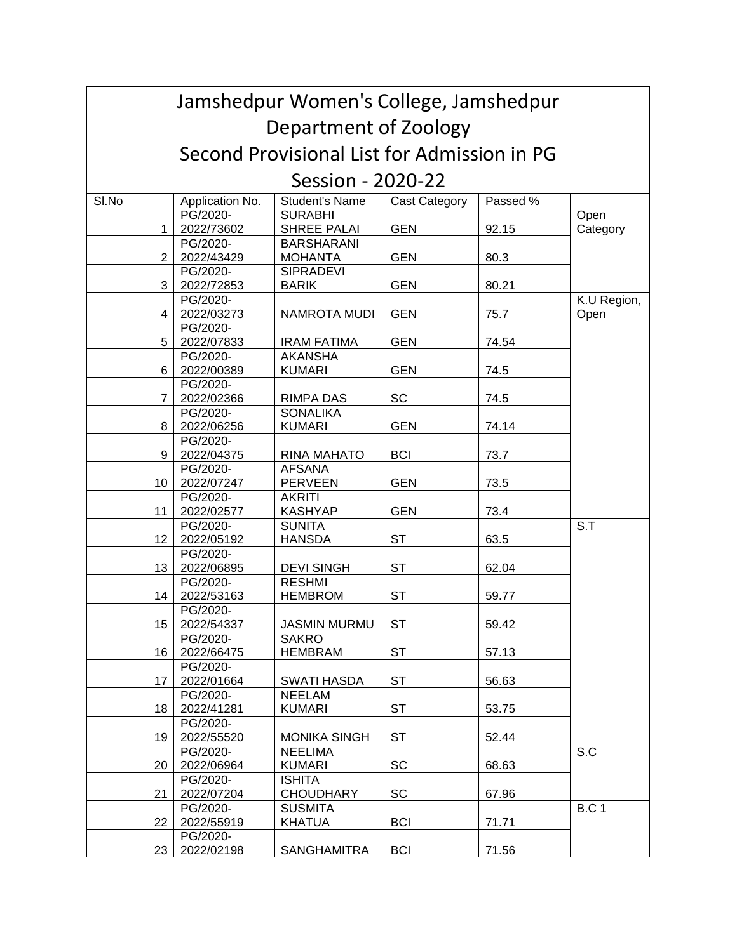| Jamshedpur Women's College, Jamshedpur      |                 |                       |                      |          |              |  |  |  |  |
|---------------------------------------------|-----------------|-----------------------|----------------------|----------|--------------|--|--|--|--|
| Department of Zoology                       |                 |                       |                      |          |              |  |  |  |  |
| Second Provisional List for Admission in PG |                 |                       |                      |          |              |  |  |  |  |
| Session - 2020-22                           |                 |                       |                      |          |              |  |  |  |  |
| SI.No                                       | Application No. | <b>Student's Name</b> | <b>Cast Category</b> | Passed % |              |  |  |  |  |
|                                             | PG/2020-        | <b>SURABHI</b>        |                      |          | Open         |  |  |  |  |
| 1                                           | 2022/73602      | SHREE PALAI           | <b>GEN</b>           | 92.15    | Category     |  |  |  |  |
|                                             | PG/2020-        | <b>BARSHARANI</b>     |                      |          |              |  |  |  |  |
| $\overline{2}$                              | 2022/43429      | <b>MOHANTA</b>        | <b>GEN</b>           | 80.3     |              |  |  |  |  |
|                                             | PG/2020-        | <b>SIPRADEVI</b>      |                      |          |              |  |  |  |  |
| 3                                           | 2022/72853      | <b>BARIK</b>          | <b>GEN</b>           | 80.21    |              |  |  |  |  |
|                                             | PG/2020-        |                       |                      |          | K.U Region,  |  |  |  |  |
| 4                                           | 2022/03273      | NAMROTA MUDI          | <b>GEN</b>           | 75.7     | Open         |  |  |  |  |
|                                             | PG/2020-        |                       |                      |          |              |  |  |  |  |
| 5                                           | 2022/07833      | <b>IRAM FATIMA</b>    | <b>GEN</b>           | 74.54    |              |  |  |  |  |
|                                             | PG/2020-        | <b>AKANSHA</b>        |                      |          |              |  |  |  |  |
| 6                                           | 2022/00389      | <b>KUMARI</b>         | <b>GEN</b>           | 74.5     |              |  |  |  |  |
|                                             | PG/2020-        |                       |                      |          |              |  |  |  |  |
| $\overline{7}$                              | 2022/02366      | <b>RIMPA DAS</b>      | SC                   | 74.5     |              |  |  |  |  |
|                                             | PG/2020-        | <b>SONALIKA</b>       |                      |          |              |  |  |  |  |
| 8                                           | 2022/06256      | <b>KUMARI</b>         | <b>GEN</b>           | 74.14    |              |  |  |  |  |
|                                             | PG/2020-        |                       |                      |          |              |  |  |  |  |
| 9                                           | 2022/04375      | RINA MAHATO           | <b>BCI</b>           | 73.7     |              |  |  |  |  |
|                                             | PG/2020-        | <b>AFSANA</b>         |                      |          |              |  |  |  |  |
| 10                                          | 2022/07247      | <b>PERVEEN</b>        | <b>GEN</b>           | 73.5     |              |  |  |  |  |
|                                             | PG/2020-        | <b>AKRITI</b>         |                      |          |              |  |  |  |  |
| 11                                          | 2022/02577      | <b>KASHYAP</b>        | <b>GEN</b>           | 73.4     |              |  |  |  |  |
|                                             | PG/2020-        | <b>SUNITA</b>         |                      |          | S.T          |  |  |  |  |
| 12                                          | 2022/05192      | <b>HANSDA</b>         | <b>ST</b>            | 63.5     |              |  |  |  |  |
|                                             | PG/2020-        |                       |                      |          |              |  |  |  |  |
| 13                                          | 2022/06895      | <b>DEVI SINGH</b>     | <b>ST</b>            | 62.04    |              |  |  |  |  |
|                                             | PG/2020-        | <b>RESHMI</b>         |                      |          |              |  |  |  |  |
| 14                                          | 2022/53163      | <b>HEMBROM</b>        | <b>ST</b>            | 59.77    |              |  |  |  |  |
|                                             | PG/2020-        |                       |                      |          |              |  |  |  |  |
| 15                                          | 2022/54337      | <b>JASMIN MURMU</b>   | ST                   | 59.42    |              |  |  |  |  |
|                                             | PG/2020-        | <b>SAKRO</b>          |                      |          |              |  |  |  |  |
| 16                                          | 2022/66475      | <b>HEMBRAM</b>        | <b>ST</b>            | 57.13    |              |  |  |  |  |
|                                             | PG/2020-        |                       |                      |          |              |  |  |  |  |
| 17                                          | 2022/01664      | SWATI HASDA           | ST                   | 56.63    |              |  |  |  |  |
|                                             | PG/2020-        | <b>NEELAM</b>         |                      |          |              |  |  |  |  |
| 18                                          | 2022/41281      | <b>KUMARI</b>         | <b>ST</b>            | 53.75    |              |  |  |  |  |
|                                             | PG/2020-        |                       |                      |          |              |  |  |  |  |
| 19                                          | 2022/55520      | <b>MONIKA SINGH</b>   | <b>ST</b>            | 52.44    |              |  |  |  |  |
|                                             | PG/2020-        | <b>NEELIMA</b>        |                      |          | S.C          |  |  |  |  |
| 20                                          | 2022/06964      | <b>KUMARI</b>         | SC                   | 68.63    |              |  |  |  |  |
|                                             | PG/2020-        | <b>ISHITA</b>         |                      |          |              |  |  |  |  |
| 21                                          | 2022/07204      | <b>CHOUDHARY</b>      | SC                   | 67.96    |              |  |  |  |  |
|                                             | PG/2020-        | <b>SUSMITA</b>        |                      |          | <b>B.C 1</b> |  |  |  |  |
| 22                                          | 2022/55919      | <b>KHATUA</b>         | <b>BCI</b>           | 71.71    |              |  |  |  |  |
|                                             | PG/2020-        |                       |                      |          |              |  |  |  |  |
| 23                                          | 2022/02198      | <b>SANGHAMITRA</b>    | <b>BCI</b>           | 71.56    |              |  |  |  |  |